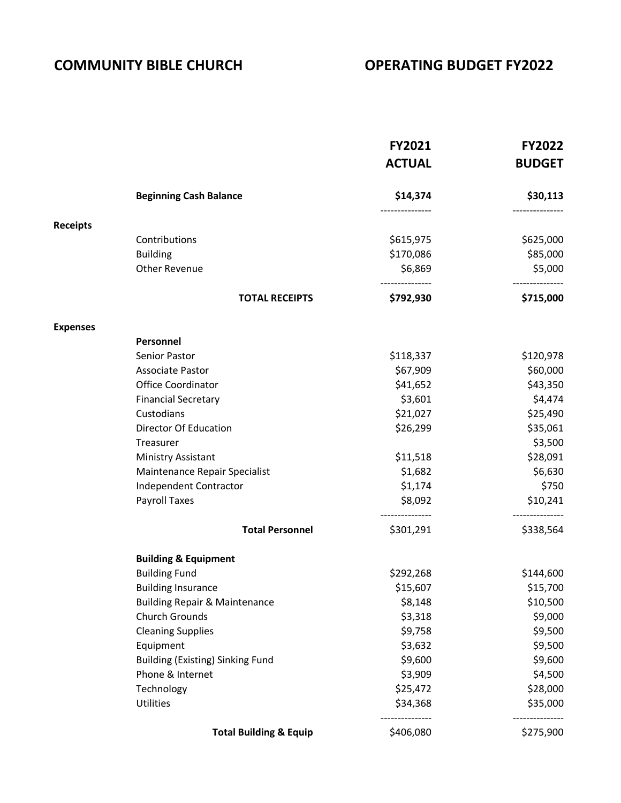## **COMMUNITY BIBLE CHURCH COMMUNITY BIBLE CHURCH**

|                 |                                          | <b>FY2021</b><br><b>ACTUAL</b> | <b>FY2022</b><br><b>BUDGET</b> |
|-----------------|------------------------------------------|--------------------------------|--------------------------------|
|                 | <b>Beginning Cash Balance</b>            | \$14,374                       | \$30,113                       |
| <b>Receipts</b> |                                          |                                |                                |
|                 | Contributions                            | \$615,975                      | \$625,000                      |
|                 | <b>Building</b>                          | \$170,086                      | \$85,000                       |
|                 | Other Revenue                            | \$6,869                        | \$5,000                        |
|                 | <b>TOTAL RECEIPTS</b>                    | --------------<br>\$792,930    | -----------<br>\$715,000       |
| <b>Expenses</b> |                                          |                                |                                |
|                 | Personnel                                |                                |                                |
|                 | Senior Pastor                            | \$118,337                      | \$120,978                      |
|                 | <b>Associate Pastor</b>                  | \$67,909                       | \$60,000                       |
|                 | Office Coordinator                       | \$41,652                       | \$43,350                       |
|                 | <b>Financial Secretary</b>               | \$3,601                        | \$4,474                        |
|                 | Custodians                               | \$21,027                       | \$25,490                       |
|                 | Director Of Education                    | \$26,299                       | \$35,061                       |
|                 | Treasurer                                |                                | \$3,500                        |
|                 | Ministry Assistant                       | \$11,518                       | \$28,091                       |
|                 | Maintenance Repair Specialist            | \$1,682                        | \$6,630                        |
|                 | <b>Independent Contractor</b>            | \$1,174                        | \$750                          |
|                 | Payroll Taxes                            | \$8,092<br>---------------     | \$10,241                       |
|                 | <b>Total Personnel</b>                   | \$301,291                      | \$338,564                      |
|                 | <b>Building &amp; Equipment</b>          |                                |                                |
|                 | <b>Building Fund</b>                     | \$292,268                      | \$144,600                      |
|                 | <b>Building Insurance</b>                | \$15,607                       | \$15,700                       |
|                 | <b>Building Repair &amp; Maintenance</b> | \$8,148                        | \$10,500                       |
|                 | <b>Church Grounds</b>                    | \$3,318                        | \$9,000                        |
|                 | <b>Cleaning Supplies</b>                 | \$9,758                        | \$9,500                        |
|                 | Equipment                                | \$3,632                        | \$9,500                        |
|                 | <b>Building (Existing) Sinking Fund</b>  | \$9,600                        | \$9,600                        |
|                 | Phone & Internet                         | \$3,909                        | \$4,500                        |
|                 | Technology                               | \$25,472                       | \$28,000                       |
|                 | Utilities                                | \$34,368<br>------------       | \$35,000<br>--------           |
|                 | <b>Total Building &amp; Equip</b>        | \$406,080                      | \$275,900                      |